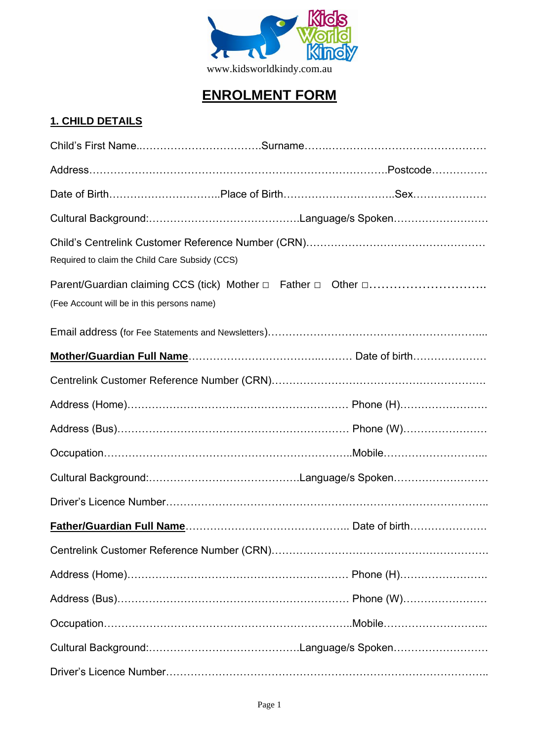

# **ENROLMENT FORM**

## **1. CHILD DETAILS**

| Required to claim the Child Care Subsidy (CCS) |  |
|------------------------------------------------|--|
| (Fee Account will be in this persons name)     |  |
|                                                |  |
|                                                |  |
|                                                |  |
|                                                |  |
|                                                |  |
|                                                |  |
|                                                |  |
|                                                |  |
|                                                |  |
|                                                |  |
|                                                |  |
|                                                |  |
|                                                |  |
|                                                |  |
|                                                |  |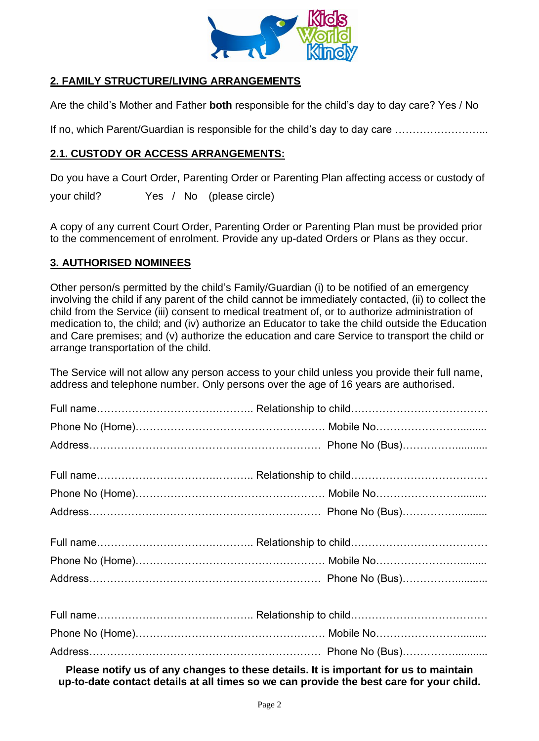

## **2. FAMILY STRUCTURE/LIVING ARRANGEMENTS**

Are the child's Mother and Father **both** responsible for the child's day to day care? Yes / No

If no, which Parent/Guardian is responsible for the child's day to day care .................................

#### **2.1. CUSTODY OR ACCESS ARRANGEMENTS:**

Do you have a Court Order, Parenting Order or Parenting Plan affecting access or custody of

your child? Yes / No (please circle)

A copy of any current Court Order, Parenting Order or Parenting Plan must be provided prior to the commencement of enrolment. Provide any up-dated Orders or Plans as they occur.

#### **3. AUTHORISED NOMINEES**

Other person/s permitted by the child's Family/Guardian (i) to be notified of an emergency involving the child if any parent of the child cannot be immediately contacted, (ii) to collect the child from the Service (iii) consent to medical treatment of, or to authorize administration of medication to, the child; and (iv) authorize an Educator to take the child outside the Education and Care premises; and (v) authorize the education and care Service to transport the child or arrange transportation of the child.

The Service will not allow any person access to your child unless you provide their full name, address and telephone number. Only persons over the age of 16 years are authorised.

**Please notify us of any changes to these details. It is important for us to maintain up-to-date contact details at all times so we can provide the best care for your child.**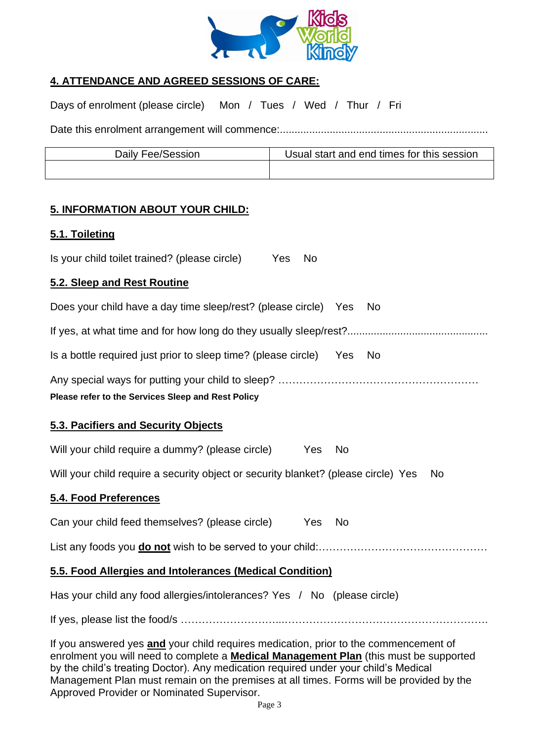

## **4. ATTENDANCE AND AGREED SESSIONS OF CARE:**

Days of enrolment (please circle) Mon / Tues / Wed / Thur / Fri

Date this enrolment arrangement will commence:.......................................................................

| Daily Fee/Session | Usual start and end times for this session |
|-------------------|--------------------------------------------|
|                   |                                            |

## **5. INFORMATION ABOUT YOUR CHILD:**

#### **5.1. Toileting**

Is your child toilet trained? (please circle) Yes No

#### **5.2. Sleep and Rest Routine**

| Does your child have a day time sleep/rest? (please circle) Yes                                                                                                                      |           | <b>No</b> |
|--------------------------------------------------------------------------------------------------------------------------------------------------------------------------------------|-----------|-----------|
|                                                                                                                                                                                      |           |           |
| Is a bottle required just prior to sleep time? (please circle) Yes No                                                                                                                |           |           |
| Please refer to the Services Sleep and Rest Policy                                                                                                                                   |           |           |
| 5.3. Pacifiers and Security Objects                                                                                                                                                  |           |           |
| Will your child require a dummy? (please circle)<br>Yes                                                                                                                              | <b>No</b> |           |
| Will your child require a security object or security blanket? (please circle) Yes                                                                                                   |           | No        |
| 5.4. Food Preferences                                                                                                                                                                |           |           |
| Can your child feed themselves? (please circle)<br>Yes                                                                                                                               | <b>No</b> |           |
|                                                                                                                                                                                      |           |           |
| 5.5. Food Allergies and Intolerances (Medical Condition)                                                                                                                             |           |           |
| Has your child any food allergies/intolerances? Yes / No (please circle)                                                                                                             |           |           |
|                                                                                                                                                                                      |           |           |
| If you answered yes and your child requires medication, prior to the commencement of<br>enrolment you will need to complete a <b>Medical Management Plan</b> (this must be supported |           |           |

enrolment you will need to complete a **Medical Management Plan** (this must be supported by the child's treating Doctor). Any medication required under your child's Medical Management Plan must remain on the premises at all times. Forms will be provided by the Approved Provider or Nominated Supervisor.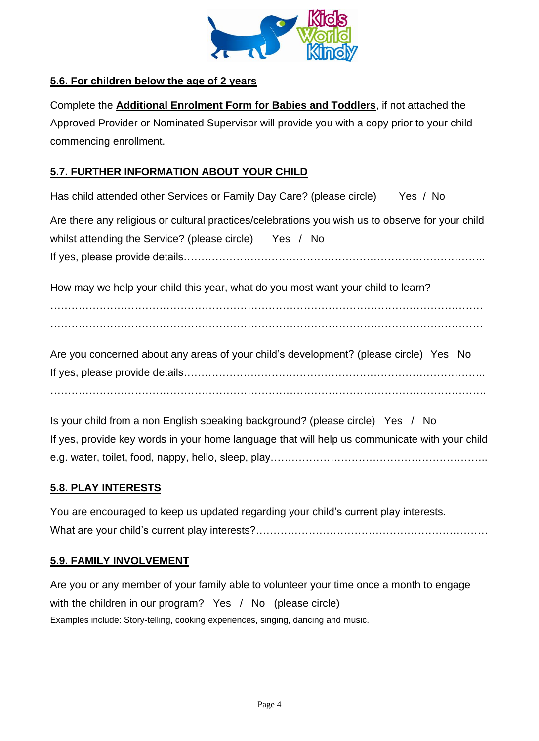

## **5.6. For children below the age of 2 years**

Complete the **Additional Enrolment Form for Babies and Toddlers**, if not attached the Approved Provider or Nominated Supervisor will provide you with a copy prior to your child commencing enrollment.

## **5.7. FURTHER INFORMATION ABOUT YOUR CHILD**

Has child attended other Services or Family Day Care? (please circle) Yes / No

Are there any religious or cultural practices/celebrations you wish us to observe for your child whilst attending the Service? (please circle) Yes / No If yes, please provide details…………………………………………………………………………..

How may we help your child this year, what do you most want your child to learn?

…………………………………………………………………………………………………………… ……………………………………………………………………………………………………………

Are you concerned about any areas of your child's development? (please circle) Yes No If yes, please provide details………………………………………………………………………….. …………………………………………………………………………………………………………….

Is your child from a non English speaking background? (please circle) Yes / No If yes, provide key words in your home language that will help us communicate with your child e.g. water, toilet, food, nappy, hello, sleep, play……………………………………………………..

## **5.8. PLAY INTERESTS**

You are encouraged to keep us updated regarding your child's current play interests. What are your child's current play interests?…………………………………………………………

## **5.9. FAMILY INVOLVEMENT**

Are you or any member of your family able to volunteer your time once a month to engage with the children in our program? Yes / No (please circle) Examples include: Story-telling, cooking experiences, singing, dancing and music.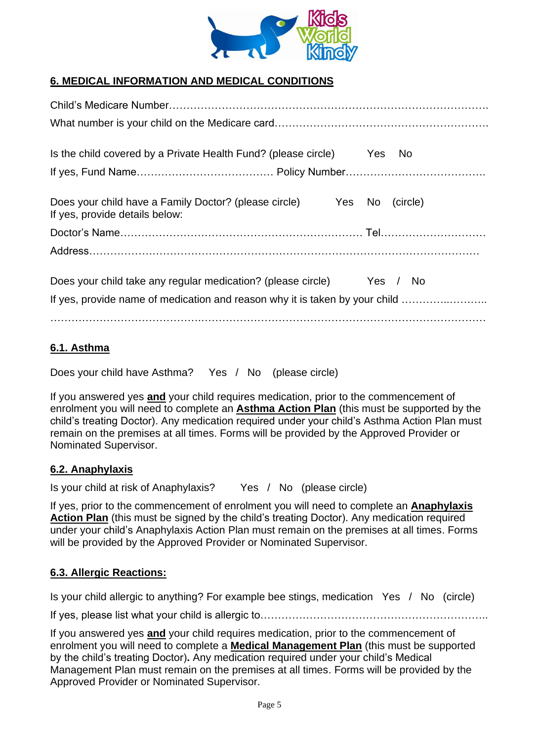

## **6. MEDICAL INFORMATION AND MEDICAL CONDITIONS**

| Is the child covered by a Private Health Fund? (please circle) Yes No                   |  |                 |
|-----------------------------------------------------------------------------------------|--|-----------------|
|                                                                                         |  |                 |
| Does your child have a Family Doctor? (please circle)<br>If yes, provide details below: |  | Yes No (circle) |
|                                                                                         |  |                 |
|                                                                                         |  |                 |
| Does your child take any regular medication? (please circle) Yes / No                   |  |                 |
| If yes, provide name of medication and reason why it is taken by your child             |  |                 |
|                                                                                         |  |                 |

## **6.1. Asthma**

Does your child have Asthma? Yes / No (please circle)

If you answered yes **and** your child requires medication, prior to the commencement of enrolment you will need to complete an **Asthma Action Plan** (this must be supported by the child's treating Doctor). Any medication required under your child's Asthma Action Plan must remain on the premises at all times. Forms will be provided by the Approved Provider or Nominated Supervisor.

## **6.2. Anaphylaxis**

Is your child at risk of Anaphylaxis? Yes / No (please circle)

If yes, prior to the commencement of enrolment you will need to complete an **Anaphylaxis Action Plan** (this must be signed by the child's treating Doctor). Any medication required under your child's Anaphylaxis Action Plan must remain on the premises at all times. Forms will be provided by the Approved Provider or Nominated Supervisor.

## **6.3. Allergic Reactions:**

Is your child allergic to anything? For example bee stings, medication Yes / No (circle)

If yes, please list what your child is allergic to………………………………………………………..

If you answered yes **and** your child requires medication, prior to the commencement of enrolment you will need to complete a **Medical Management Plan** (this must be supported by the child's treating Doctor)**.** Any medication required under your child's Medical Management Plan must remain on the premises at all times. Forms will be provided by the Approved Provider or Nominated Supervisor.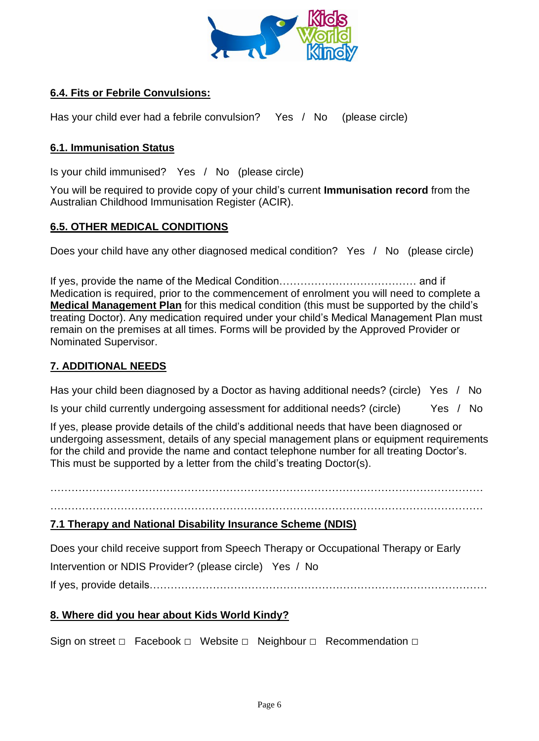

## **6.4. Fits or Febrile Convulsions:**

Has your child ever had a febrile convulsion? Yes / No (please circle)

#### **6.1. Immunisation Status**

Is your child immunised? Yes / No (please circle)

You will be required to provide copy of your child's current **Immunisation record** from the Australian Childhood Immunisation Register (ACIR).

#### **6.5. OTHER MEDICAL CONDITIONS**

Does your child have any other diagnosed medical condition? Yes / No (please circle)

If yes, provide the name of the Medical Condition………………………………… and if Medication is required, prior to the commencement of enrolment you will need to complete a **Medical Management Plan** for this medical condition (this must be supported by the child's treating Doctor). Any medication required under your child's Medical Management Plan must remain on the premises at all times. Forms will be provided by the Approved Provider or Nominated Supervisor.

#### **7. ADDITIONAL NEEDS**

Has your child been diagnosed by a Doctor as having additional needs? (circle) Yes / No

Is your child currently undergoing assessment for additional needs? (circle) Yes / No

If yes, please provide details of the child's additional needs that have been diagnosed or undergoing assessment, details of any special management plans or equipment requirements for the child and provide the name and contact telephone number for all treating Doctor's. This must be supported by a letter from the child's treating Doctor(s).

…………………………………………………………………………………………………………… ……………………………………………………………………………………………………………

#### **7.1 Therapy and National Disability Insurance Scheme (NDIS)**

Does your child receive support from Speech Therapy or Occupational Therapy or Early Intervention or NDIS Provider? (please circle) Yes / No If yes, provide details……………………………………………………………………………………

#### **8. Where did you hear about Kids World Kindy?**

Sign on street □ Facebook □ Website □ Neighbour □ Recommendation □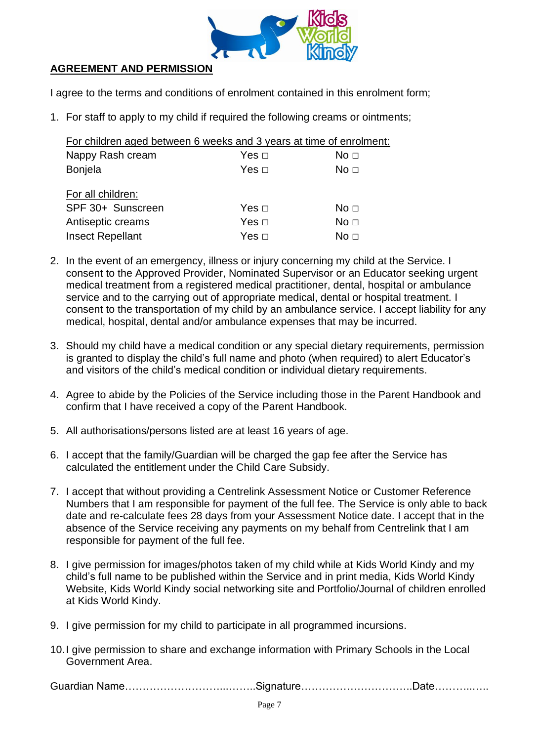

## **AGREEMENT AND PERMISSION**

I agree to the terms and conditions of enrolment contained in this enrolment form;

1. For staff to apply to my child if required the following creams or ointments;

| For children aged between 6 weeks and 3 years at time of enrolment: |            |                 |
|---------------------------------------------------------------------|------------|-----------------|
| Nappy Rash cream                                                    |            | No <sub>1</sub> |
| <b>Bonjela</b>                                                      | Yes $\Box$ | No <sub>1</sub> |
| For all children:                                                   |            |                 |
| SPF 30+ Sunscreen                                                   | Yes $\Box$ | No <sub>1</sub> |
| Antiseptic creams                                                   | Yes $\Box$ | No <sub>1</sub> |
| <b>Insect Repellant</b>                                             | Yes   □    | No <sub>1</sub> |

- 2. In the event of an emergency, illness or injury concerning my child at the Service. I consent to the Approved Provider, Nominated Supervisor or an Educator seeking urgent medical treatment from a registered medical practitioner, dental, hospital or ambulance service and to the carrying out of appropriate medical, dental or hospital treatment. I consent to the transportation of my child by an ambulance service. I accept liability for any medical, hospital, dental and/or ambulance expenses that may be incurred.
- 3. Should my child have a medical condition or any special dietary requirements, permission is granted to display the child's full name and photo (when required) to alert Educator's and visitors of the child's medical condition or individual dietary requirements.
- 4. Agree to abide by the Policies of the Service including those in the Parent Handbook and confirm that I have received a copy of the Parent Handbook.
- 5. All authorisations/persons listed are at least 16 years of age.
- 6. I accept that the family/Guardian will be charged the gap fee after the Service has calculated the entitlement under the Child Care Subsidy.
- 7. I accept that without providing a Centrelink Assessment Notice or Customer Reference Numbers that I am responsible for payment of the full fee. The Service is only able to back date and re-calculate fees 28 days from your Assessment Notice date. I accept that in the absence of the Service receiving any payments on my behalf from Centrelink that I am responsible for payment of the full fee.
- 8. I give permission for images/photos taken of my child while at Kids World Kindy and my child's full name to be published within the Service and in print media, Kids World Kindy Website, Kids World Kindy social networking site and Portfolio/Journal of children enrolled at Kids World Kindy.
- 9. I give permission for my child to participate in all programmed incursions.
- 10.I give permission to share and exchange information with Primary Schools in the Local Government Area.

Guardian Name………………………...……..Signature…………………………..Date………..…..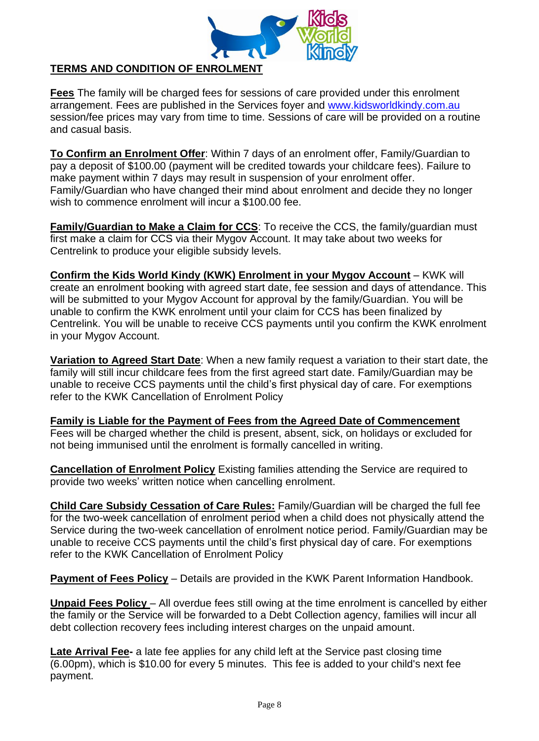

## **TERMS AND CONDITION OF ENROLMENT**

**Fees** The family will be charged fees for sessions of care provided under this enrolment arrangement. Fees are published in the Services foyer and [www.kidsworldkindy.com.au](http://www.kidsworldkindy.com.au/) session/fee prices may vary from time to time. Sessions of care will be provided on a routine and casual basis.

**To Confirm an Enrolment Offer**: Within 7 days of an enrolment offer, Family/Guardian to pay a deposit of \$100.00 (payment will be credited towards your childcare fees). Failure to make payment within 7 days may result in suspension of your enrolment offer. Family/Guardian who have changed their mind about enrolment and decide they no longer wish to commence enrolment will incur a \$100.00 fee.

**Family/Guardian to Make a Claim for CCS**: To receive the CCS, the family/guardian must first make a claim for CCS via their Mygov Account. It may take about two weeks for Centrelink to produce your eligible subsidy levels.

**Confirm the Kids World Kindy (KWK) Enrolment in your Mygov Account** – KWK will create an enrolment booking with agreed start date, fee session and days of attendance. This will be submitted to your Mygov Account for approval by the family/Guardian. You will be unable to confirm the KWK enrolment until your claim for CCS has been finalized by Centrelink. You will be unable to receive CCS payments until you confirm the KWK enrolment in your Mygov Account.

**Variation to Agreed Start Date**: When a new family request a variation to their start date, the family will still incur childcare fees from the first agreed start date. Family/Guardian may be unable to receive CCS payments until the child's first physical day of care. For exemptions refer to the KWK Cancellation of Enrolment Policy

**Family is Liable for the Payment of Fees from the Agreed Date of Commencement** Fees will be charged whether the child is present, absent, sick, on holidays or excluded for not being immunised until the enrolment is formally cancelled in writing.

**Cancellation of Enrolment Policy** Existing families attending the Service are required to provide two weeks' written notice when cancelling enrolment.

**Child Care Subsidy Cessation of Care Rules:** Family/Guardian will be charged the full fee for the two-week cancellation of enrolment period when a child does not physically attend the Service during the two-week cancellation of enrolment notice period. Family/Guardian may be unable to receive CCS payments until the child's first physical day of care. For exemptions refer to the KWK Cancellation of Enrolment Policy

**Payment of Fees Policy** – Details are provided in the KWK Parent Information Handbook.

**Unpaid Fees Policy** – All overdue fees still owing at the time enrolment is cancelled by either the family or the Service will be forwarded to a Debt Collection agency, families will incur all debt collection recovery fees including interest charges on the unpaid amount.

**Late Arrival Fee-** a late fee applies for any child left at the Service past closing time (6.00pm), which is \$10.00 for every 5 minutes. This fee is added to your child's next fee payment.